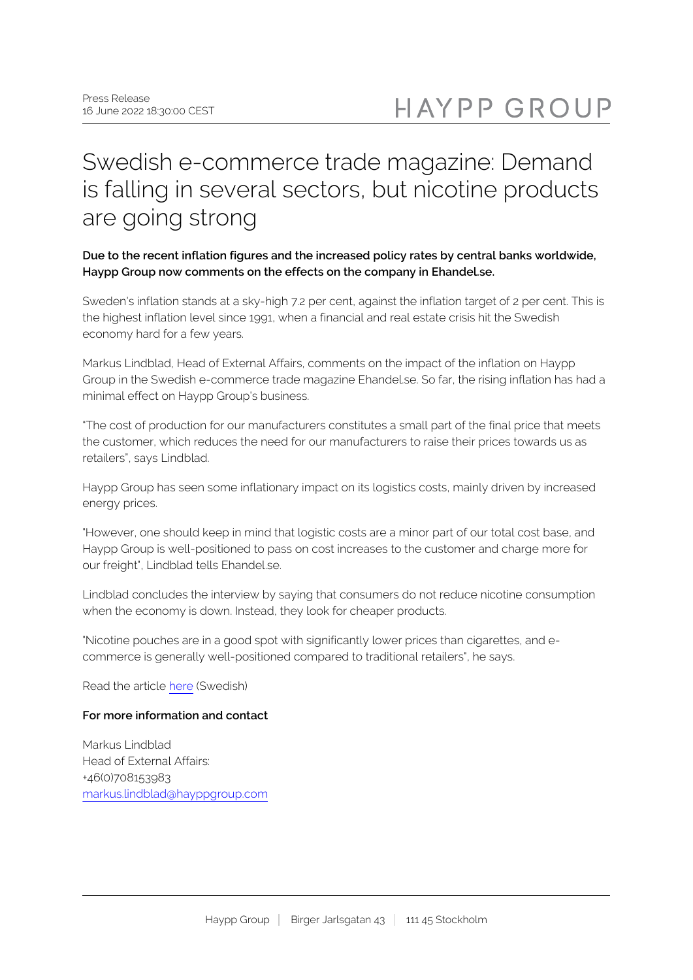# Swedish e-commerce trade magazine: Demand is falling in several sectors, but nicotine products are going strong

## **Due to the recent inflation figures and the increased policy rates by central banks worldwide, Haypp Group now comments on the effects on the company in Ehandel.se.**

Sweden's inflation stands at a sky-high 7.2 per cent, against the inflation target of 2 per cent. This is the highest inflation level since 1991, when a financial and real estate crisis hit the Swedish economy hard for a few years.

Markus Lindblad, Head of External Affairs, comments on the impact of the inflation on Haypp Group in the Swedish e-commerce trade magazine Ehandel.se. So far, the rising inflation has had a minimal effect on Haypp Group's business.

"The cost of production for our manufacturers constitutes a small part of the final price that meets the customer, which reduces the need for our manufacturers to raise their prices towards us as retailers", says Lindblad.

Haypp Group has seen some inflationary impact on its logistics costs, mainly driven by increased energy prices.

"However, one should keep in mind that logistic costs are a minor part of our total cost base, and Haypp Group is well-positioned to pass on cost increases to the customer and charge more for our freight", Lindblad tells Ehandel.se.

Lindblad concludes the interview by saying that consumers do not reduce nicotine consumption when the economy is down. Instead, they look for cheaper products.

"Nicotine pouches are in a good spot with significantly lower prices than cigarettes, and ecommerce is generally well-positioned compared to traditional retailers", he says.

Read the article [here](https://www.ehandel.se/sa-slar-inflationssmockan-mot-e-handeln-bra-position) (Swedish)

#### **For more information and contact**

Markus Lindblad Head of External Affairs: +46(0)708153983 [markus.lindblad@hayppgroup.com](mailto:markus.lindblad@hayppgroup.com)